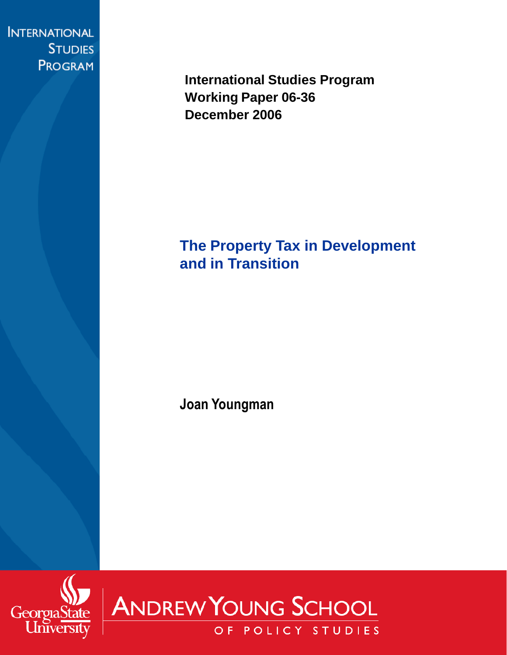**INTERNATIONAL STUDIES PROGRAM** 

**International Studies Program Working Paper 06-36 December 2006** 

# **The Property Tax in Development and in Transition**

**Joan Youngman**



**ANDREW YOUNG SCHOOL** OF POLICY STUDIES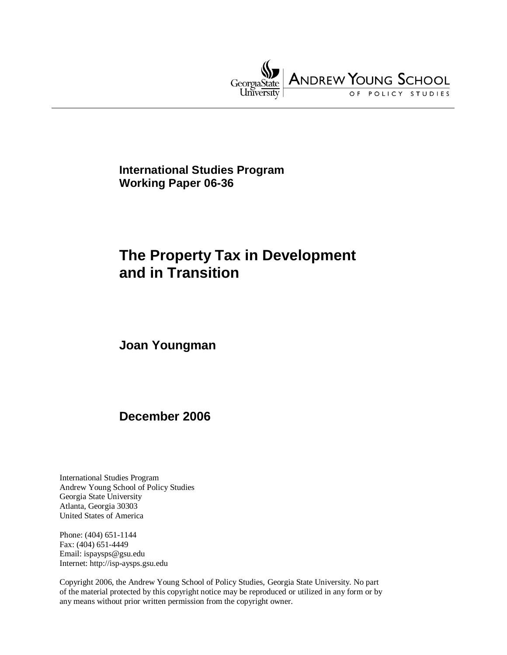

**International Studies Program Working Paper 06-36**

## **The Property Tax in Development and in Transition**

**Joan Youngman**

### **December 2006**

International Studies Program Andrew Young School of Policy Studies Georgia State University Atlanta, Georgia 30303 United States of America

Phone: (404) 651-1144 Fax: (404) 651-4449 Email: ispaysps@gsu.edu Internet: http://isp-aysps.gsu.edu

Copyright 2006, the Andrew Young School of Policy Studies, Georgia State University. No part of the material protected by this copyright notice may be reproduced or utilized in any form or by any means without prior written permission from the copyright owner.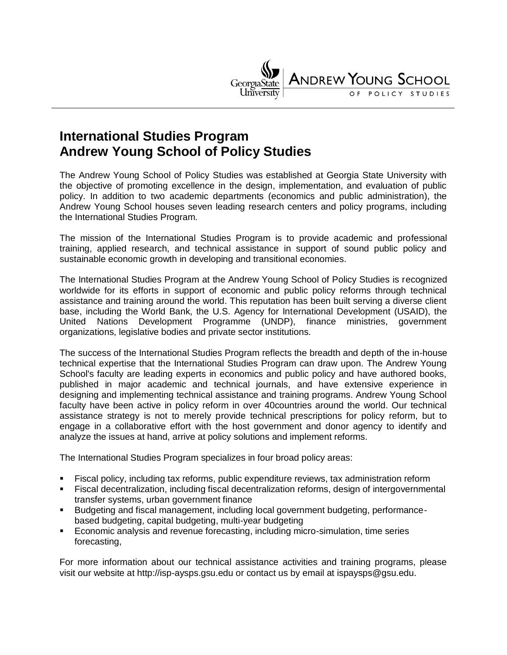

### **International Studies Program Andrew Young School of Policy Studies**

The Andrew Young School of Policy Studies was established at Georgia State University with the objective of promoting excellence in the design, implementation, and evaluation of public policy. In addition to two academic departments (economics and public administration), the Andrew Young School houses seven leading research centers and policy programs, including the International Studies Program.

The mission of the International Studies Program is to provide academic and professional training, applied research, and technical assistance in support of sound public policy and sustainable economic growth in developing and transitional economies.

The International Studies Program at the Andrew Young School of Policy Studies is recognized worldwide for its efforts in support of economic and public policy reforms through technical assistance and training around the world. This reputation has been built serving a diverse client base, including the World Bank, the U.S. Agency for International Development (USAID), the United Nations Development Programme (UNDP), finance ministries, government organizations, legislative bodies and private sector institutions.

The success of the International Studies Program reflects the breadth and depth of the in-house technical expertise that the International Studies Program can draw upon. The Andrew Young School's faculty are leading experts in economics and public policy and have authored books, published in major academic and technical journals, and have extensive experience in designing and implementing technical assistance and training programs. Andrew Young School faculty have been active in policy reform in over 40countries around the world. Our technical assistance strategy is not to merely provide technical prescriptions for policy reform, but to engage in a collaborative effort with the host government and donor agency to identify and analyze the issues at hand, arrive at policy solutions and implement reforms.

The International Studies Program specializes in four broad policy areas:

- Fiscal policy, including tax reforms, public expenditure reviews, tax administration reform
- Fiscal decentralization, including fiscal decentralization reforms, design of intergovernmental transfer systems, urban government finance
- Budgeting and fiscal management, including local government budgeting, performancebased budgeting, capital budgeting, multi-year budgeting
- Economic analysis and revenue forecasting, including micro-simulation, time series forecasting,

For more information about our technical assistance activities and training programs, please visit our website at http://isp-aysps.gsu.edu or contact us by email at ispaysps@gsu.edu.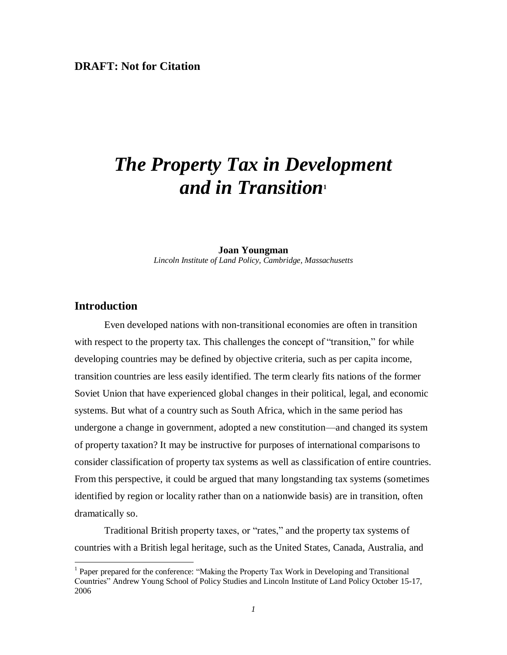# *The Property Tax in Development and in Transition***<sup>1</sup>**

#### **Joan Youngman** *Lincoln Institute of Land Policy, Cambridge, Massachusetts*

#### **Introduction**

 $\overline{a}$ 

Even developed nations with non-transitional economies are often in transition with respect to the property tax. This challenges the concept of "transition," for while developing countries may be defined by objective criteria, such as per capita income, transition countries are less easily identified. The term clearly fits nations of the former Soviet Union that have experienced global changes in their political, legal, and economic systems. But what of a country such as South Africa, which in the same period has undergone a change in government, adopted a new constitution—and changed its system of property taxation? It may be instructive for purposes of international comparisons to consider classification of property tax systems as well as classification of entire countries. From this perspective, it could be argued that many longstanding tax systems (sometimes identified by region or locality rather than on a nationwide basis) are in transition, often dramatically so.

Traditional British property taxes, or "rates," and the property tax systems of countries with a British legal heritage, such as the United States, Canada, Australia, and

<sup>&</sup>lt;sup>1</sup> Paper prepared for the conference: "Making the Property Tax Work in Developing and Transitional Countries" Andrew Young School of Policy Studies and Lincoln Institute of Land Policy October 15-17, 2006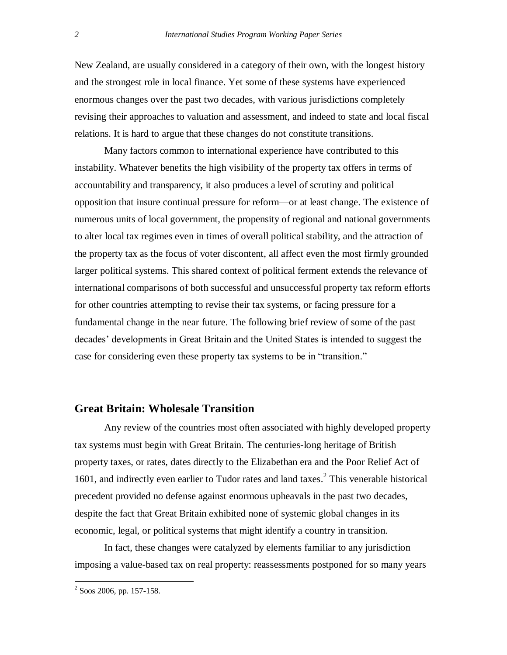New Zealand, are usually considered in a category of their own, with the longest history and the strongest role in local finance. Yet some of these systems have experienced enormous changes over the past two decades, with various jurisdictions completely revising their approaches to valuation and assessment, and indeed to state and local fiscal relations. It is hard to argue that these changes do not constitute transitions.

Many factors common to international experience have contributed to this instability. Whatever benefits the high visibility of the property tax offers in terms of accountability and transparency, it also produces a level of scrutiny and political opposition that insure continual pressure for reform—or at least change. The existence of numerous units of local government, the propensity of regional and national governments to alter local tax regimes even in times of overall political stability, and the attraction of the property tax as the focus of voter discontent, all affect even the most firmly grounded larger political systems. This shared context of political ferment extends the relevance of international comparisons of both successful and unsuccessful property tax reform efforts for other countries attempting to revise their tax systems, or facing pressure for a fundamental change in the near future. The following brief review of some of the past decades' developments in Great Britain and the United States is intended to suggest the case for considering even these property tax systems to be in "transition."

#### **Great Britain: Wholesale Transition**

Any review of the countries most often associated with highly developed property tax systems must begin with Great Britain. The centuries-long heritage of British property taxes, or rates, dates directly to the Elizabethan era and the Poor Relief Act of 1601, and indirectly even earlier to Tudor rates and land taxes. 2 This venerable historical precedent provided no defense against enormous upheavals in the past two decades, despite the fact that Great Britain exhibited none of systemic global changes in its economic, legal, or political systems that might identify a country in transition.

In fact, these changes were catalyzed by elements familiar to any jurisdiction imposing a value-based tax on real property: reassessments postponed for so many years

 2 Soos 2006, pp. 157-158.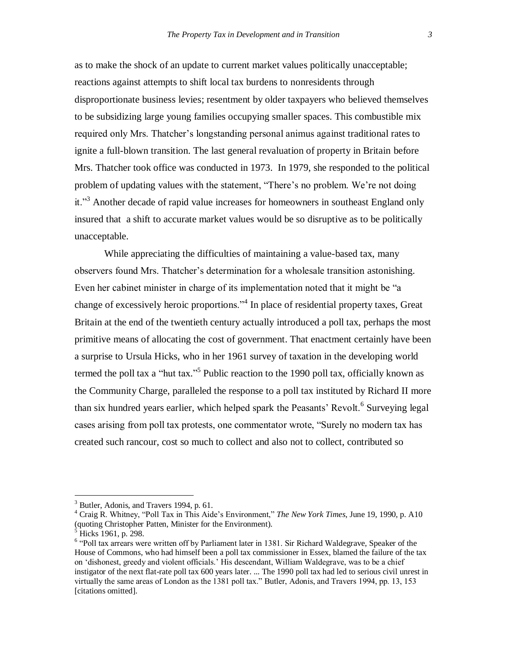as to make the shock of an update to current market values politically unacceptable; reactions against attempts to shift local tax burdens to nonresidents through disproportionate business levies; resentment by older taxpayers who believed themselves to be subsidizing large young families occupying smaller spaces. This combustible mix required only Mrs. Thatcher's longstanding personal animus against traditional rates to ignite a full-blown transition. The last general revaluation of property in Britain before Mrs. Thatcher took office was conducted in 1973. In 1979, she responded to the political problem of updating values with the statement, "There's no problem. We're not doing it."<sup>3</sup> Another decade of rapid value increases for homeowners in southeast England only insured that a shift to accurate market values would be so disruptive as to be politically unacceptable.

While appreciating the difficulties of maintaining a value-based tax, many observers found Mrs. Thatcher's determination for a wholesale transition astonishing. Even her cabinet minister in charge of its implementation noted that it might be "a change of excessively heroic proportions."<sup>4</sup> In place of residential property taxes, Great Britain at the end of the twentieth century actually introduced a poll tax, perhaps the most primitive means of allocating the cost of government. That enactment certainly have been a surprise to Ursula Hicks, who in her 1961 survey of taxation in the developing world termed the poll tax a "hut tax."<sup>5</sup> Public reaction to the 1990 poll tax, officially known as the Community Charge, paralleled the response to a poll tax instituted by Richard II more than six hundred years earlier, which helped spark the Peasants' Revolt.<sup>6</sup> Surveying legal cases arising from poll tax protests, one commentator wrote, "Surely no modern tax has created such rancour, cost so much to collect and also not to collect, contributed so

 $3$  Butler, Adonis, and Travers 1994, p. 61.

<sup>&</sup>lt;sup>4</sup> Craig R. Whitney, "Poll Tax in This Aide's Environment," The New York Times, June 19, 1990, p. A10 (quoting Christopher Patten, Minister for the Environment).

Hicks 1961, p. 298.

<sup>&</sup>lt;sup>6</sup> "Poll tax arrears were written off by Parliament later in 1381. Sir Richard Waldegrave, Speaker of the House of Commons, who had himself been a poll tax commissioner in Essex, blamed the failure of the tax on ‗dishonest, greedy and violent officials.' His descendant, William Waldegrave, was to be a chief instigator of the next flat-rate poll tax 600 years later. ... The 1990 poll tax had led to serious civil unrest in virtually the same areas of London as the 1381 poll tax." Butler, Adonis, and Travers 1994, pp. 13, 153 [citations omitted].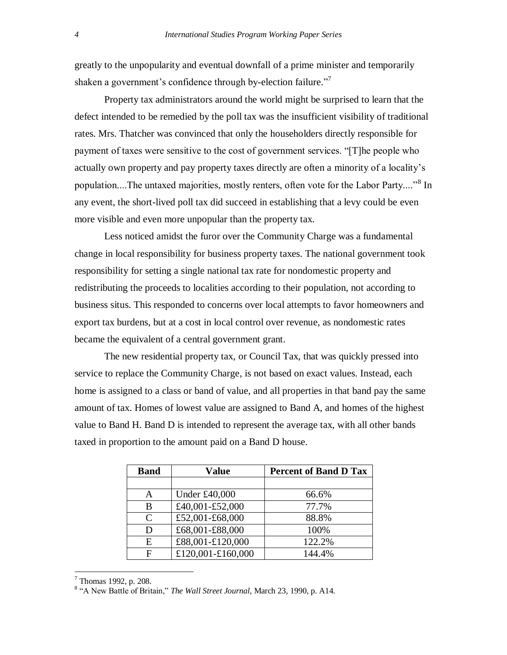greatly to the unpopularity and eventual downfall of a prime minister and temporarily shaken a government's confidence through by-election failure."<sup>7</sup>

Property tax administrators around the world might be surprised to learn that the defect intended to be remedied by the poll tax was the insufficient visibility of traditional rates. Mrs. Thatcher was convinced that only the householders directly responsible for payment of taxes were sensitive to the cost of government services. "The people who actually own property and pay property taxes directly are often a minority of a locality's population....The untaxed majorities, mostly renters, often vote for the Labor Party...."<sup>8</sup> In any event, the short-lived poll tax did succeed in establishing that a levy could be even more visible and even more unpopular than the property tax.

Less noticed amidst the furor over the Community Charge was a fundamental change in local responsibility for business property taxes. The national government took responsibility for setting a single national tax rate for nondomestic property and redistributing the proceeds to localities according to their population, not according to business situs. This responded to concerns over local attempts to favor homeowners and export tax burdens, but at a cost in local control over revenue, as nondomestic rates became the equivalent of a central government grant.

The new residential property tax, or Council Tax, that was quickly pressed into service to replace the Community Charge, is not based on exact values. Instead, each home is assigned to a class or band of value, and all properties in that band pay the same amount of tax. Homes of lowest value are assigned to Band A, and homes of the highest value to Band H. Band D is intended to represent the average tax, with all other bands taxed in proportion to the amount paid on a Band D house.

| <b>Band</b>   | <b>Value</b>      | <b>Percent of Band D Tax</b> |
|---------------|-------------------|------------------------------|
|               |                   |                              |
| A             | Under £40,000     | 66.6%                        |
| B             | £40,001-£52,000   | 77.7%                        |
| $\mathcal{C}$ | £52,001-£68,000   | 88.8%                        |
| D             | £68,001-£88,000   | 100%                         |
| E             | £88,001-£120,000  | 122.2%                       |
| F             | £120,001-£160,000 | 144.4%                       |

<sup>7</sup> Thomas 1992, p. 208.

<sup>&</sup>lt;sup>8</sup> "A New Battle of Britain," The Wall Street Journal, March 23, 1990, p. A14.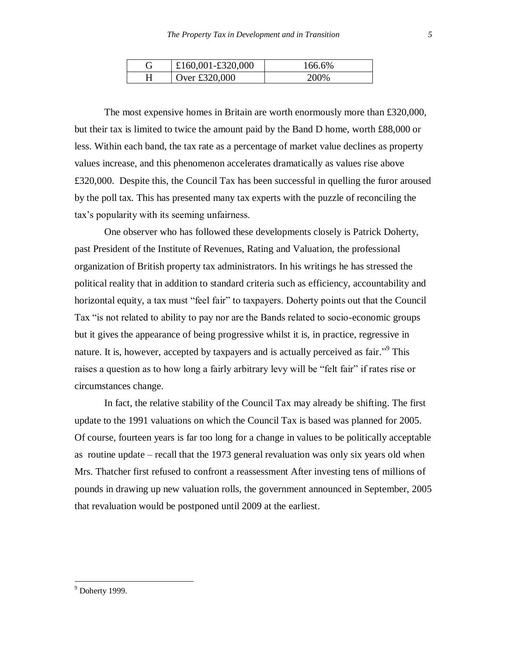| £160,001-£320,000 | 166.6% |
|-------------------|--------|
| Over £320,000     | 200%   |

The most expensive homes in Britain are worth enormously more than £320,000, but their tax is limited to twice the amount paid by the Band D home, worth £88,000 or less. Within each band, the tax rate as a percentage of market value declines as property values increase, and this phenomenon accelerates dramatically as values rise above £320,000. Despite this, the Council Tax has been successful in quelling the furor aroused by the poll tax. This has presented many tax experts with the puzzle of reconciling the tax's popularity with its seeming unfairness.

One observer who has followed these developments closely is Patrick Doherty, past President of the Institute of Revenues, Rating and Valuation, the professional organization of British property tax administrators. In his writings he has stressed the political reality that in addition to standard criteria such as efficiency, accountability and horizontal equity, a tax must "feel fair" to taxpayers. Doherty points out that the Council Tax "is not related to ability to pay nor are the Bands related to socio-economic groups but it gives the appearance of being progressive whilst it is, in practice, regressive in nature. It is, however, accepted by taxpayers and is actually perceived as fair."<sup>9</sup> This raises a question as to how long a fairly arbitrary levy will be "felt fair" if rates rise or circumstances change.

In fact, the relative stability of the Council Tax may already be shifting. The first update to the 1991 valuations on which the Council Tax is based was planned for 2005. Of course, fourteen years is far too long for a change in values to be politically acceptable as routine update – recall that the 1973 general revaluation was only six years old when Mrs. Thatcher first refused to confront a reassessment After investing tens of millions of pounds in drawing up new valuation rolls, the government announced in September, 2005 that revaluation would be postponed until 2009 at the earliest.

 $<sup>9</sup>$  Doherty 1999.</sup>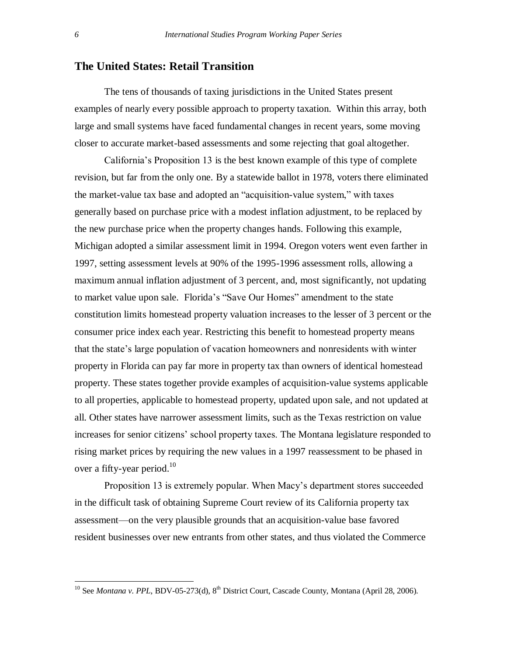#### **The United States: Retail Transition**

The tens of thousands of taxing jurisdictions in the United States present examples of nearly every possible approach to property taxation. Within this array, both large and small systems have faced fundamental changes in recent years, some moving closer to accurate market-based assessments and some rejecting that goal altogether.

California's Proposition 13 is the best known example of this type of complete revision, but far from the only one. By a statewide ballot in 1978, voters there eliminated the market-value tax base and adopted an "acquisition-value system," with taxes generally based on purchase price with a modest inflation adjustment, to be replaced by the new purchase price when the property changes hands. Following this example, Michigan adopted a similar assessment limit in 1994. Oregon voters went even farther in 1997, setting assessment levels at 90% of the 1995-1996 assessment rolls, allowing a maximum annual inflation adjustment of 3 percent, and, most significantly, not updating to market value upon sale. Florida's "Save Our Homes" amendment to the state constitution limits homestead property valuation increases to the lesser of 3 percent or the consumer price index each year. Restricting this benefit to homestead property means that the state's large population of vacation homeowners and nonresidents with winter property in Florida can pay far more in property tax than owners of identical homestead property. These states together provide examples of acquisition-value systems applicable to all properties, applicable to homestead property, updated upon sale, and not updated at all. Other states have narrower assessment limits, such as the Texas restriction on value increases for senior citizens' school property taxes. The Montana legislature responded to rising market prices by requiring the new values in a 1997 reassessment to be phased in over a fifty-year period. $10$ 

Proposition 13 is extremely popular. When Macy's department stores succeeded in the difficult task of obtaining Supreme Court review of its California property tax assessment—on the very plausible grounds that an acquisition-value base favored resident businesses over new entrants from other states, and thus violated the Commerce

<sup>&</sup>lt;sup>10</sup> See *Montana v. PPL*, BDV-05-273(d), 8<sup>th</sup> District Court, Cascade County, Montana (April 28, 2006).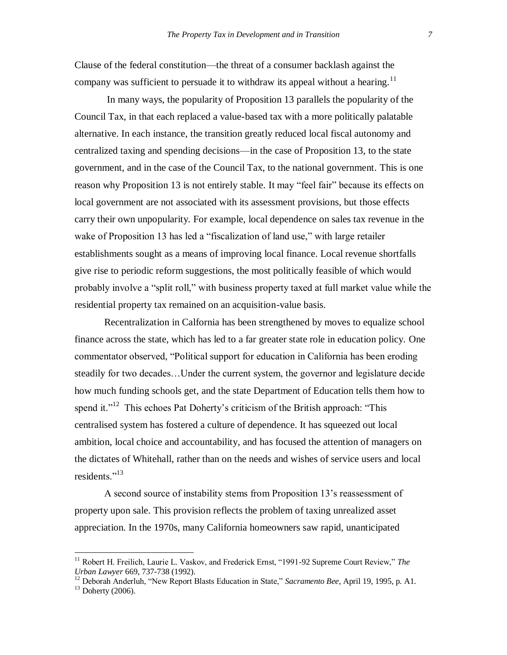Clause of the federal constitution—the threat of a consumer backlash against the company was sufficient to persuade it to withdraw its appeal without a hearing.<sup>11</sup>

In many ways, the popularity of Proposition 13 parallels the popularity of the Council Tax, in that each replaced a value-based tax with a more politically palatable alternative. In each instance, the transition greatly reduced local fiscal autonomy and centralized taxing and spending decisions—in the case of Proposition 13, to the state government, and in the case of the Council Tax, to the national government. This is one reason why Proposition 13 is not entirely stable. It may "feel fair" because its effects on local government are not associated with its assessment provisions, but those effects carry their own unpopularity. For example, local dependence on sales tax revenue in the wake of Proposition 13 has led a "fiscalization of land use," with large retailer establishments sought as a means of improving local finance. Local revenue shortfalls give rise to periodic reform suggestions, the most politically feasible of which would probably involve a "split roll," with business property taxed at full market value while the residential property tax remained on an acquisition-value basis.

Recentralization in Calfornia has been strengthened by moves to equalize school finance across the state, which has led to a far greater state role in education policy. One commentator observed, "Political support for education in California has been eroding steadily for two decades…Under the current system, the governor and legislature decide how much funding schools get, and the state Department of Education tells them how to spend it."<sup>12</sup> This echoes Pat Doherty's criticism of the British approach: "This centralised system has fostered a culture of dependence. It has squeezed out local ambition, local choice and accountability, and has focused the attention of managers on the dictates of Whitehall, rather than on the needs and wishes of service users and local residents."<sup>13</sup>

A second source of instability stems from Proposition 13's reassessment of property upon sale. This provision reflects the problem of taxing unrealized asset appreciation. In the 1970s, many California homeowners saw rapid, unanticipated

<sup>&</sup>lt;sup>11</sup> Robert H. Freilich, Laurie L. Vaskov, and Frederick Ernst, "1991-92 Supreme Court Review," The *Urban Lawyer* 669, 737-738 (1992).

<sup>&</sup>lt;sup>12</sup> Deborah Anderluh, "New Report Blasts Education in State," Sacramento Bee, April 19, 1995, p. A1.  $13$  Doherty (2006).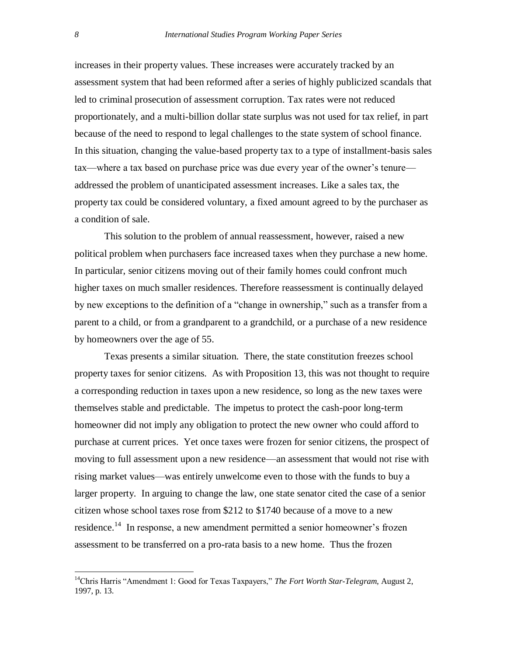increases in their property values. These increases were accurately tracked by an assessment system that had been reformed after a series of highly publicized scandals that led to criminal prosecution of assessment corruption. Tax rates were not reduced proportionately, and a multi-billion dollar state surplus was not used for tax relief, in part because of the need to respond to legal challenges to the state system of school finance. In this situation, changing the value-based property tax to a type of installment-basis sales tax—where a tax based on purchase price was due every year of the owner's tenure addressed the problem of unanticipated assessment increases. Like a sales tax, the property tax could be considered voluntary, a fixed amount agreed to by the purchaser as a condition of sale.

This solution to the problem of annual reassessment, however, raised a new political problem when purchasers face increased taxes when they purchase a new home. In particular, senior citizens moving out of their family homes could confront much higher taxes on much smaller residences. Therefore reassessment is continually delayed by new exceptions to the definition of a "change in ownership," such as a transfer from a parent to a child, or from a grandparent to a grandchild, or a purchase of a new residence by homeowners over the age of 55.

Texas presents a similar situation. There, the state constitution freezes school property taxes for senior citizens. As with Proposition 13, this was not thought to require a corresponding reduction in taxes upon a new residence, so long as the new taxes were themselves stable and predictable. The impetus to protect the cash-poor long-term homeowner did not imply any obligation to protect the new owner who could afford to purchase at current prices. Yet once taxes were frozen for senior citizens, the prospect of moving to full assessment upon a new residence—an assessment that would not rise with rising market values—was entirely unwelcome even to those with the funds to buy a larger property. In arguing to change the law, one state senator cited the case of a senior citizen whose school taxes rose from \$212 to \$1740 because of a move to a new residence.<sup>14</sup> In response, a new amendment permitted a senior homeowner's frozen assessment to be transferred on a pro-rata basis to a new home. Thus the frozen

<sup>&</sup>lt;sup>14</sup>Chris Harris "Amendment 1: Good for Texas Taxpayers," The Fort Worth Star-Telegram, August 2, 1997, p. 13.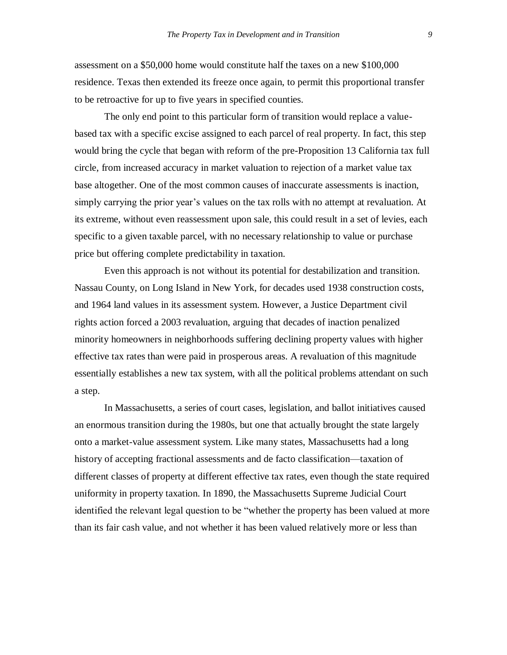assessment on a \$50,000 home would constitute half the taxes on a new \$100,000 residence. Texas then extended its freeze once again, to permit this proportional transfer to be retroactive for up to five years in specified counties.

The only end point to this particular form of transition would replace a valuebased tax with a specific excise assigned to each parcel of real property. In fact, this step would bring the cycle that began with reform of the pre-Proposition 13 California tax full circle, from increased accuracy in market valuation to rejection of a market value tax base altogether. One of the most common causes of inaccurate assessments is inaction, simply carrying the prior year's values on the tax rolls with no attempt at revaluation. At its extreme, without even reassessment upon sale, this could result in a set of levies, each specific to a given taxable parcel, with no necessary relationship to value or purchase price but offering complete predictability in taxation.

Even this approach is not without its potential for destabilization and transition. Nassau County, on Long Island in New York, for decades used 1938 construction costs, and 1964 land values in its assessment system. However, a Justice Department civil rights action forced a 2003 revaluation, arguing that decades of inaction penalized minority homeowners in neighborhoods suffering declining property values with higher effective tax rates than were paid in prosperous areas. A revaluation of this magnitude essentially establishes a new tax system, with all the political problems attendant on such a step.

In Massachusetts, a series of court cases, legislation, and ballot initiatives caused an enormous transition during the 1980s, but one that actually brought the state largely onto a market-value assessment system. Like many states, Massachusetts had a long history of accepting fractional assessments and de facto classification—taxation of different classes of property at different effective tax rates, even though the state required uniformity in property taxation. In 1890, the Massachusetts Supreme Judicial Court identified the relevant legal question to be "whether the property has been valued at more than its fair cash value, and not whether it has been valued relatively more or less than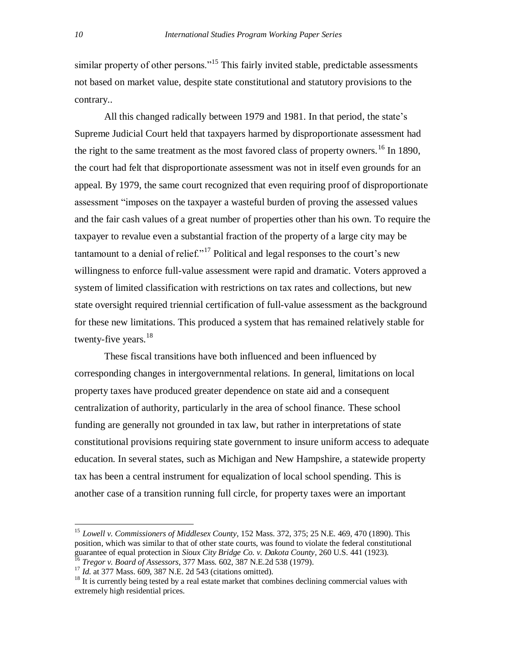similar property of other persons."<sup>15</sup> This fairly invited stable, predictable assessments not based on market value, despite state constitutional and statutory provisions to the contrary..

All this changed radically between 1979 and 1981. In that period, the state's Supreme Judicial Court held that taxpayers harmed by disproportionate assessment had the right to the same treatment as the most favored class of property owners.<sup>16</sup> In 1890, the court had felt that disproportionate assessment was not in itself even grounds for an appeal. By 1979, the same court recognized that even requiring proof of disproportionate assessment "imposes on the taxpayer a wasteful burden of proving the assessed values and the fair cash values of a great number of properties other than his own. To require the taxpayer to revalue even a substantial fraction of the property of a large city may be tantamount to a denial of relief."<sup>17</sup> Political and legal responses to the court's new willingness to enforce full-value assessment were rapid and dramatic. Voters approved a system of limited classification with restrictions on tax rates and collections, but new state oversight required triennial certification of full-value assessment as the background for these new limitations. This produced a system that has remained relatively stable for twenty-five years. $18$ 

These fiscal transitions have both influenced and been influenced by corresponding changes in intergovernmental relations. In general, limitations on local property taxes have produced greater dependence on state aid and a consequent centralization of authority, particularly in the area of school finance. These school funding are generally not grounded in tax law, but rather in interpretations of state constitutional provisions requiring state government to insure uniform access to adequate education. In several states, such as Michigan and New Hampshire, a statewide property tax has been a central instrument for equalization of local school spending. This is another case of a transition running full circle, for property taxes were an important

<sup>15</sup> *Lowell v. Commissioners of Middlesex County*, 152 Mass. 372, 375; 25 N.E. 469, 470 (1890). This position, which was similar to that of other state courts, was found to violate the federal constitutional guarantee of equal protection in *Sioux City Bridge Co. v. Dakota County*, 260 U.S. 441 (1923). <sup>16</sup> *Tregor v. Board of Assessors*, 377 Mass. 602, 387 N.E.2d 538 (1979).

<sup>&</sup>lt;sup>17</sup> *Id.* at 377 Mass. 609, 387 N.E. 2d 543 (citations omitted).

 $18$  It is currently being tested by a real estate market that combines declining commercial values with extremely high residential prices.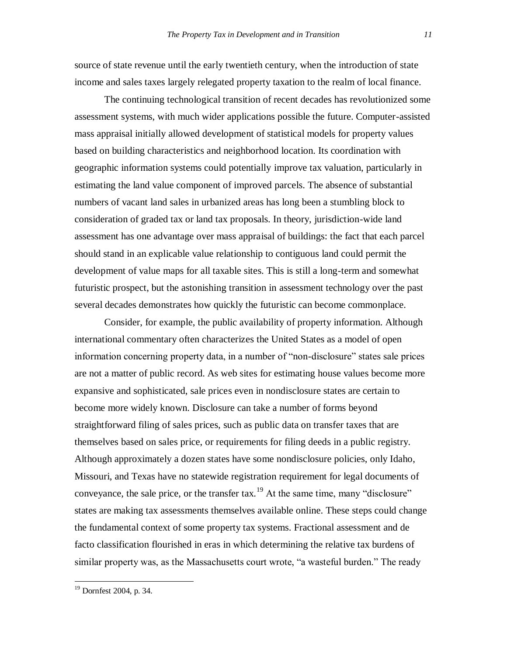source of state revenue until the early twentieth century, when the introduction of state income and sales taxes largely relegated property taxation to the realm of local finance.

The continuing technological transition of recent decades has revolutionized some assessment systems, with much wider applications possible the future. Computer-assisted mass appraisal initially allowed development of statistical models for property values based on building characteristics and neighborhood location. Its coordination with geographic information systems could potentially improve tax valuation, particularly in estimating the land value component of improved parcels. The absence of substantial numbers of vacant land sales in urbanized areas has long been a stumbling block to consideration of graded tax or land tax proposals. In theory, jurisdiction-wide land assessment has one advantage over mass appraisal of buildings: the fact that each parcel should stand in an explicable value relationship to contiguous land could permit the development of value maps for all taxable sites. This is still a long-term and somewhat futuristic prospect, but the astonishing transition in assessment technology over the past several decades demonstrates how quickly the futuristic can become commonplace.

Consider, for example, the public availability of property information. Although international commentary often characterizes the United States as a model of open information concerning property data, in a number of "non-disclosure" states sale prices are not a matter of public record. As web sites for estimating house values become more expansive and sophisticated, sale prices even in nondisclosure states are certain to become more widely known. Disclosure can take a number of forms beyond straightforward filing of sales prices, such as public data on transfer taxes that are themselves based on sales price, or requirements for filing deeds in a public registry. Although approximately a dozen states have some nondisclosure policies, only Idaho, Missouri, and Texas have no statewide registration requirement for legal documents of conveyance, the sale price, or the transfer tax.<sup>19</sup> At the same time, many "disclosure" states are making tax assessments themselves available online. These steps could change the fundamental context of some property tax systems. Fractional assessment and de facto classification flourished in eras in which determining the relative tax burdens of similar property was, as the Massachusetts court wrote, "a wasteful burden." The ready

 $19$  Dornfest 2004, p. 34.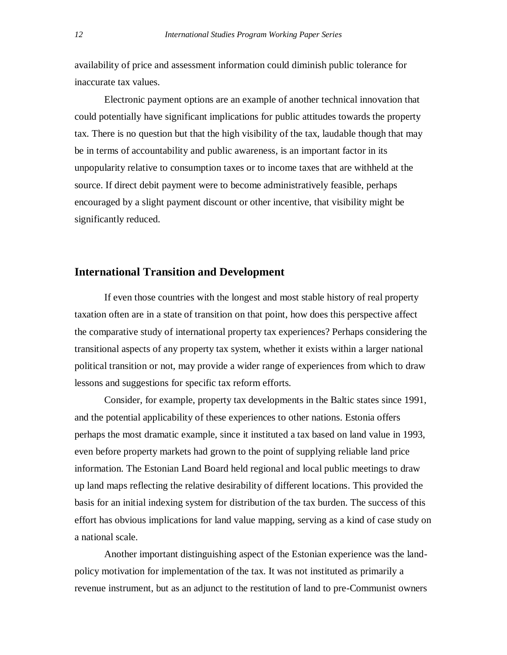availability of price and assessment information could diminish public tolerance for inaccurate tax values.

Electronic payment options are an example of another technical innovation that could potentially have significant implications for public attitudes towards the property tax. There is no question but that the high visibility of the tax, laudable though that may be in terms of accountability and public awareness, is an important factor in its unpopularity relative to consumption taxes or to income taxes that are withheld at the source. If direct debit payment were to become administratively feasible, perhaps encouraged by a slight payment discount or other incentive, that visibility might be significantly reduced.

#### **International Transition and Development**

If even those countries with the longest and most stable history of real property taxation often are in a state of transition on that point, how does this perspective affect the comparative study of international property tax experiences? Perhaps considering the transitional aspects of any property tax system, whether it exists within a larger national political transition or not, may provide a wider range of experiences from which to draw lessons and suggestions for specific tax reform efforts.

Consider, for example, property tax developments in the Baltic states since 1991, and the potential applicability of these experiences to other nations. Estonia offers perhaps the most dramatic example, since it instituted a tax based on land value in 1993, even before property markets had grown to the point of supplying reliable land price information. The Estonian Land Board held regional and local public meetings to draw up land maps reflecting the relative desirability of different locations. This provided the basis for an initial indexing system for distribution of the tax burden. The success of this effort has obvious implications for land value mapping, serving as a kind of case study on a national scale.

Another important distinguishing aspect of the Estonian experience was the landpolicy motivation for implementation of the tax. It was not instituted as primarily a revenue instrument, but as an adjunct to the restitution of land to pre-Communist owners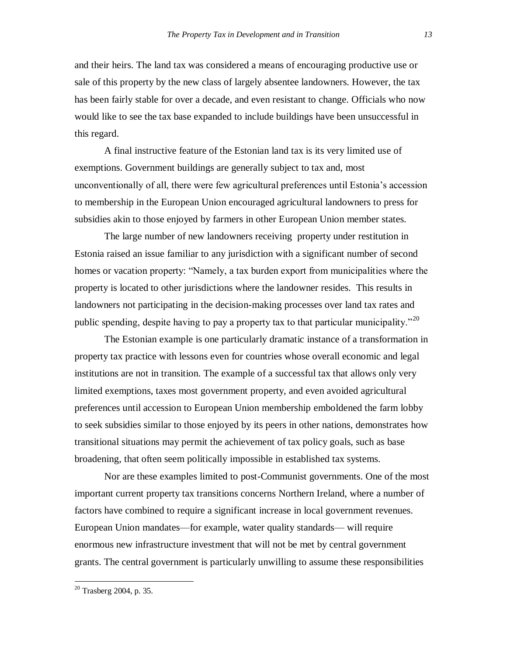and their heirs. The land tax was considered a means of encouraging productive use or sale of this property by the new class of largely absentee landowners. However, the tax has been fairly stable for over a decade, and even resistant to change. Officials who now would like to see the tax base expanded to include buildings have been unsuccessful in this regard.

A final instructive feature of the Estonian land tax is its very limited use of exemptions. Government buildings are generally subject to tax and, most unconventionally of all, there were few agricultural preferences until Estonia's accession to membership in the European Union encouraged agricultural landowners to press for subsidies akin to those enjoyed by farmers in other European Union member states.

The large number of new landowners receiving property under restitution in Estonia raised an issue familiar to any jurisdiction with a significant number of second homes or vacation property: "Namely, a tax burden export from municipalities where the property is located to other jurisdictions where the landowner resides. This results in landowners not participating in the decision-making processes over land tax rates and public spending, despite having to pay a property tax to that particular municipality.<sup> $20$ </sup>

The Estonian example is one particularly dramatic instance of a transformation in property tax practice with lessons even for countries whose overall economic and legal institutions are not in transition. The example of a successful tax that allows only very limited exemptions, taxes most government property, and even avoided agricultural preferences until accession to European Union membership emboldened the farm lobby to seek subsidies similar to those enjoyed by its peers in other nations, demonstrates how transitional situations may permit the achievement of tax policy goals, such as base broadening, that often seem politically impossible in established tax systems.

Nor are these examples limited to post-Communist governments. One of the most important current property tax transitions concerns Northern Ireland, where a number of factors have combined to require a significant increase in local government revenues. European Union mandates—for example, water quality standards— will require enormous new infrastructure investment that will not be met by central government grants. The central government is particularly unwilling to assume these responsibilities

 $20$ <sup>20</sup> Trasberg 2004, p. 35.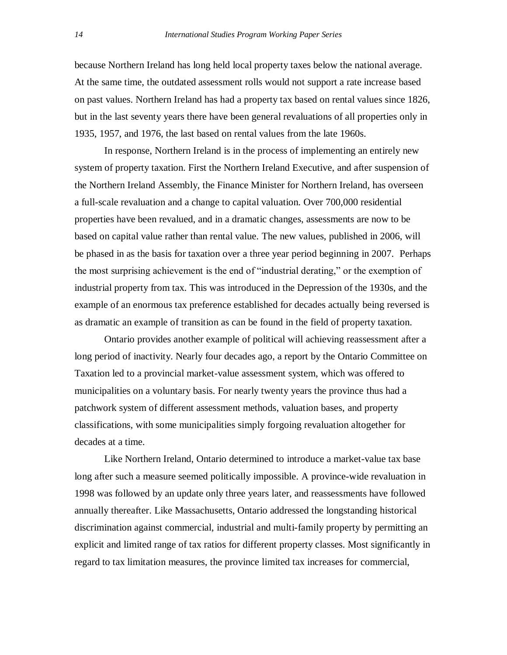because Northern Ireland has long held local property taxes below the national average. At the same time, the outdated assessment rolls would not support a rate increase based on past values. Northern Ireland has had a property tax based on rental values since 1826, but in the last seventy years there have been general revaluations of all properties only in 1935, 1957, and 1976, the last based on rental values from the late 1960s.

In response, Northern Ireland is in the process of implementing an entirely new system of property taxation. First the Northern Ireland Executive, and after suspension of the Northern Ireland Assembly, the Finance Minister for Northern Ireland, has overseen a full-scale revaluation and a change to capital valuation. Over 700,000 residential properties have been revalued, and in a dramatic changes, assessments are now to be based on capital value rather than rental value. The new values, published in 2006, will be phased in as the basis for taxation over a three year period beginning in 2007. Perhaps the most surprising achievement is the end of "industrial derating," or the exemption of industrial property from tax. This was introduced in the Depression of the 1930s, and the example of an enormous tax preference established for decades actually being reversed is as dramatic an example of transition as can be found in the field of property taxation.

Ontario provides another example of political will achieving reassessment after a long period of inactivity. Nearly four decades ago, a report by the Ontario Committee on Taxation led to a provincial market-value assessment system, which was offered to municipalities on a voluntary basis. For nearly twenty years the province thus had a patchwork system of different assessment methods, valuation bases, and property classifications, with some municipalities simply forgoing revaluation altogether for decades at a time.

Like Northern Ireland, Ontario determined to introduce a market-value tax base long after such a measure seemed politically impossible. A province-wide revaluation in 1998 was followed by an update only three years later, and reassessments have followed annually thereafter. Like Massachusetts, Ontario addressed the longstanding historical discrimination against commercial, industrial and multi-family property by permitting an explicit and limited range of tax ratios for different property classes. Most significantly in regard to tax limitation measures, the province limited tax increases for commercial,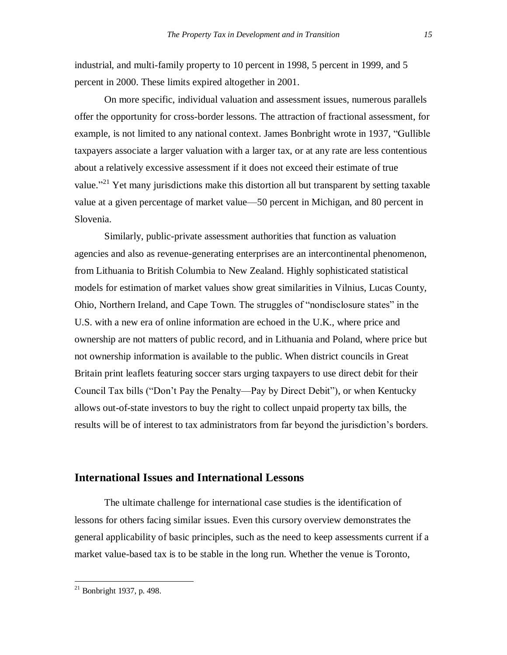industrial, and multi-family property to 10 percent in 1998, 5 percent in 1999, and 5 percent in 2000. These limits expired altogether in 2001.

On more specific, individual valuation and assessment issues, numerous parallels offer the opportunity for cross-border lessons. The attraction of fractional assessment, for example, is not limited to any national context. James Bonbright wrote in 1937, "Gullible taxpayers associate a larger valuation with a larger tax, or at any rate are less contentious about a relatively excessive assessment if it does not exceed their estimate of true value."<sup>21</sup> Yet many jurisdictions make this distortion all but transparent by setting taxable value at a given percentage of market value—50 percent in Michigan, and 80 percent in Slovenia.

Similarly, public-private assessment authorities that function as valuation agencies and also as revenue-generating enterprises are an intercontinental phenomenon, from Lithuania to British Columbia to New Zealand. Highly sophisticated statistical models for estimation of market values show great similarities in Vilnius, Lucas County, Ohio, Northern Ireland, and Cape Town. The struggles of "nondisclosure states" in the U.S. with a new era of online information are echoed in the U.K., where price and ownership are not matters of public record, and in Lithuania and Poland, where price but not ownership information is available to the public. When district councils in Great Britain print leaflets featuring soccer stars urging taxpayers to use direct debit for their Council Tax bills ("Don't Pay the Penalty—Pay by Direct Debit"), or when Kentucky allows out-of-state investors to buy the right to collect unpaid property tax bills, the results will be of interest to tax administrators from far beyond the jurisdiction's borders.

#### **International Issues and International Lessons**

The ultimate challenge for international case studies is the identification of lessons for others facing similar issues. Even this cursory overview demonstrates the general applicability of basic principles, such as the need to keep assessments current if a market value-based tax is to be stable in the long run. Whether the venue is Toronto,

 $21$  Bonbright 1937, p. 498.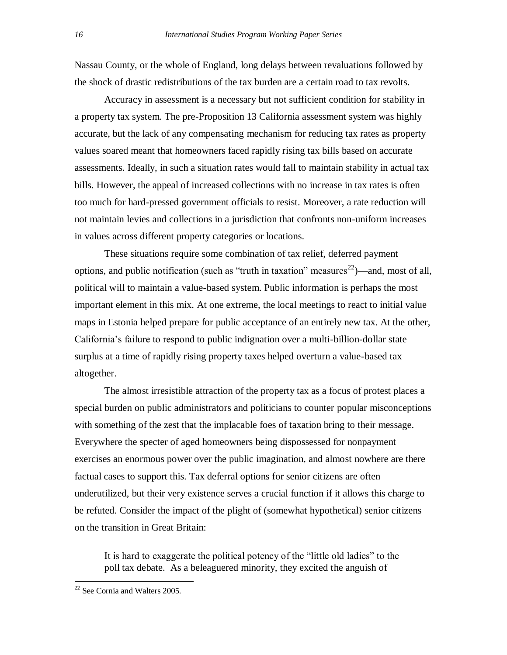Nassau County, or the whole of England, long delays between revaluations followed by the shock of drastic redistributions of the tax burden are a certain road to tax revolts.

Accuracy in assessment is a necessary but not sufficient condition for stability in a property tax system. The pre-Proposition 13 California assessment system was highly accurate, but the lack of any compensating mechanism for reducing tax rates as property values soared meant that homeowners faced rapidly rising tax bills based on accurate assessments. Ideally, in such a situation rates would fall to maintain stability in actual tax bills. However, the appeal of increased collections with no increase in tax rates is often too much for hard-pressed government officials to resist. Moreover, a rate reduction will not maintain levies and collections in a jurisdiction that confronts non-uniform increases in values across different property categories or locations.

These situations require some combination of tax relief, deferred payment options, and public notification (such as "truth in taxation" measures<sup>22</sup>)—and, most of all, political will to maintain a value-based system. Public information is perhaps the most important element in this mix. At one extreme, the local meetings to react to initial value maps in Estonia helped prepare for public acceptance of an entirely new tax. At the other, California's failure to respond to public indignation over a multi-billion-dollar state surplus at a time of rapidly rising property taxes helped overturn a value-based tax altogether.

The almost irresistible attraction of the property tax as a focus of protest places a special burden on public administrators and politicians to counter popular misconceptions with something of the zest that the implacable foes of taxation bring to their message. Everywhere the specter of aged homeowners being dispossessed for nonpayment exercises an enormous power over the public imagination, and almost nowhere are there factual cases to support this. Tax deferral options for senior citizens are often underutilized, but their very existence serves a crucial function if it allows this charge to be refuted. Consider the impact of the plight of (somewhat hypothetical) senior citizens on the transition in Great Britain:

It is hard to exaggerate the political potency of the "little old ladies" to the poll tax debate. As a beleaguered minority, they excited the anguish of

 $22$  See Cornia and Walters 2005.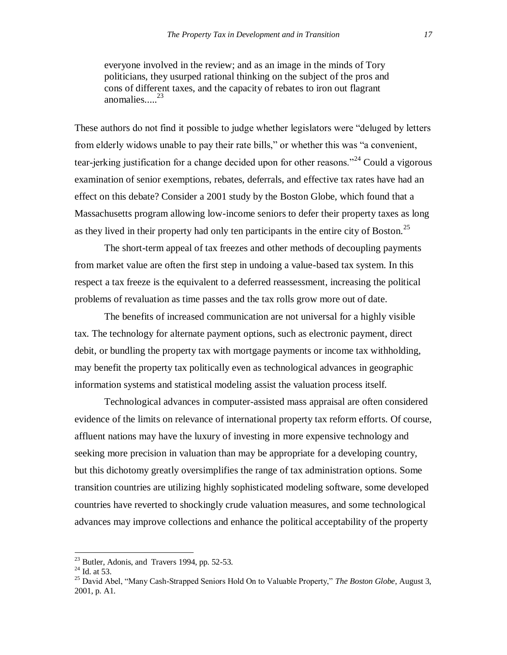everyone involved in the review; and as an image in the minds of Tory politicians, they usurped rational thinking on the subject of the pros and cons of different taxes, and the capacity of rebates to iron out flagrant anomalies.....<sup>23</sup>

These authors do not find it possible to judge whether legislators were "deluged by letters" from elderly widows unable to pay their rate bills," or whether this was "a convenient, tear-jerking justification for a change decided upon for other reasons.<sup>24</sup> Could a vigorous examination of senior exemptions, rebates, deferrals, and effective tax rates have had an effect on this debate? Consider a 2001 study by the Boston Globe, which found that a Massachusetts program allowing low-income seniors to defer their property taxes as long as they lived in their property had only ten participants in the entire city of Boston.<sup>25</sup>

The short-term appeal of tax freezes and other methods of decoupling payments from market value are often the first step in undoing a value-based tax system. In this respect a tax freeze is the equivalent to a deferred reassessment, increasing the political problems of revaluation as time passes and the tax rolls grow more out of date.

The benefits of increased communication are not universal for a highly visible tax. The technology for alternate payment options, such as electronic payment, direct debit, or bundling the property tax with mortgage payments or income tax withholding, may benefit the property tax politically even as technological advances in geographic information systems and statistical modeling assist the valuation process itself.

Technological advances in computer-assisted mass appraisal are often considered evidence of the limits on relevance of international property tax reform efforts. Of course, affluent nations may have the luxury of investing in more expensive technology and seeking more precision in valuation than may be appropriate for a developing country, but this dichotomy greatly oversimplifies the range of tax administration options. Some transition countries are utilizing highly sophisticated modeling software, some developed countries have reverted to shockingly crude valuation measures, and some technological advances may improve collections and enhance the political acceptability of the property

 $23$  Butler, Adonis, and Travers 1994, pp. 52-53.

 $^{24}$  Id. at 53.

<sup>&</sup>lt;sup>25</sup> David Abel, "Many Cash-Strapped Seniors Hold On to Valuable Property," *The Boston Globe*, August 3, 2001, p. A1.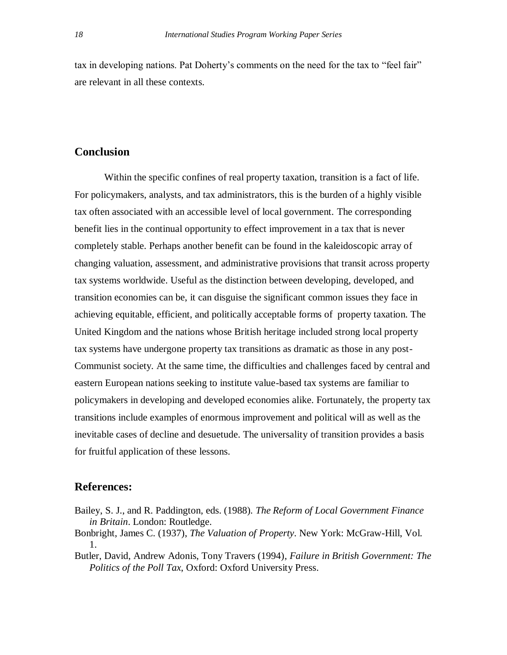tax in developing nations. Pat Doherty's comments on the need for the tax to "feel fair" are relevant in all these contexts.

#### **Conclusion**

Within the specific confines of real property taxation, transition is a fact of life. For policymakers, analysts, and tax administrators, this is the burden of a highly visible tax often associated with an accessible level of local government. The corresponding benefit lies in the continual opportunity to effect improvement in a tax that is never completely stable. Perhaps another benefit can be found in the kaleidoscopic array of changing valuation, assessment, and administrative provisions that transit across property tax systems worldwide. Useful as the distinction between developing, developed, and transition economies can be, it can disguise the significant common issues they face in achieving equitable, efficient, and politically acceptable forms of property taxation. The United Kingdom and the nations whose British heritage included strong local property tax systems have undergone property tax transitions as dramatic as those in any post-Communist society. At the same time, the difficulties and challenges faced by central and eastern European nations seeking to institute value-based tax systems are familiar to policymakers in developing and developed economies alike. Fortunately, the property tax transitions include examples of enormous improvement and political will as well as the inevitable cases of decline and desuetude. The universality of transition provides a basis for fruitful application of these lessons.

#### **References:**

- Bailey, S. J., and R. Paddington, eds. (1988). *The Reform of Local Government Finance in Britain*. London: Routledge.
- Bonbright, James C. (1937), *The Valuation of Property*. New York: McGraw-Hill, Vol. 1.
- Butler, David, Andrew Adonis, Tony Travers (1994), *Failure in British Government: The Politics of the Poll Tax*, Oxford: Oxford University Press.